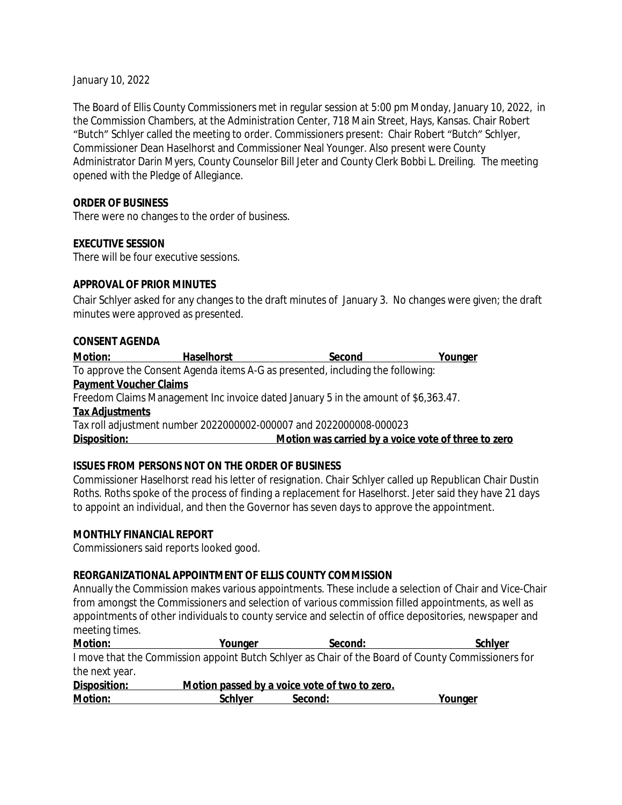January 10, 2022

The Board of Ellis County Commissioners met in regular session at 5:00 pm Monday, January 10, 2022, in the Commission Chambers, at the Administration Center, 718 Main Street, Hays, Kansas. Chair Robert "Butch" Schlyer called the meeting to order. Commissioners present: Chair Robert "Butch" Schlyer, Commissioner Dean Haselhorst and Commissioner Neal Younger. Also present were County Administrator Darin Myers, County Counselor Bill Jeter and County Clerk Bobbi L. Dreiling. The meeting opened with the Pledge of Allegiance.

#### **ORDER OF BUSINESS**

There were no changes to the order of business.

#### **EXECUTIVE SESSION**

There will be four executive sessions.

#### **APPROVAL OF PRIOR MINUTES**

Chair Schlyer asked for any changes to the draft minutes of January 3. No changes were given; the draft minutes were approved as presented.

#### **CONSENT AGENDA**

| <b>Motion:</b>                | <b>Haselhorst</b>                                                                  | Second                                              | Younger |
|-------------------------------|------------------------------------------------------------------------------------|-----------------------------------------------------|---------|
|                               | To approve the Consent Agenda items A-G as presented, including the following:     |                                                     |         |
| <b>Payment Voucher Claims</b> |                                                                                    |                                                     |         |
|                               | Freedom Claims Management Inc invoice dated January 5 in the amount of \$6,363.47. |                                                     |         |
| <b>Tax Adjustments</b>        |                                                                                    |                                                     |         |
|                               | Tax roll adjustment number 2022000002-000007 and 2022000008-000023                 |                                                     |         |
| Disposition:                  |                                                                                    | Motion was carried by a voice vote of three to zero |         |
|                               |                                                                                    |                                                     |         |

### **ISSUES FROM PERSONS NOT ON THE ORDER OF BUSINESS**

Commissioner Haselhorst read his letter of resignation. Chair Schlyer called up Republican Chair Dustin Roths. Roths spoke of the process of finding a replacement for Haselhorst. Jeter said they have 21 days to appoint an individual, and then the Governor has seven days to approve the appointment.

#### **MONTHLY FINANCIAL REPORT**

Commissioners said reports looked good.

### **REORGANIZATIONAL APPOINTMENT OF ELLIS COUNTY COMMISSION**

Annually the Commission makes various appointments. These include a selection of Chair and Vice-Chair from amongst the Commissioners and selection of various commission filled appointments, as well as appointments of other individuals to county service and selectin of office depositories, newspaper and meeting times.

| Motion:        | Younger                                       | Second: | <b>Schlyer</b>                                                                                     |
|----------------|-----------------------------------------------|---------|----------------------------------------------------------------------------------------------------|
|                |                                               |         | I move that the Commission appoint Butch Schlyer as Chair of the Board of County Commissioners for |
| the next year. |                                               |         |                                                                                                    |
| Disposition:   | Motion passed by a voice vote of two to zero. |         |                                                                                                    |
| Motion:        | <b>Schlyer</b>                                | Second: | <u>Younger</u>                                                                                     |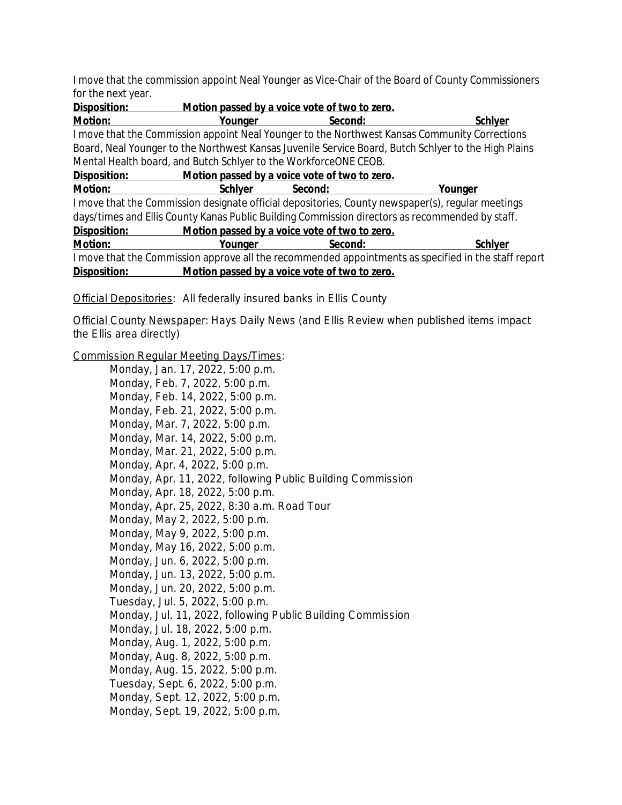I move that the commission appoint Neal Younger as Vice-Chair of the Board of County Commissioners for the next year.

| Disposition:                                                                                         | Motion passed by a voice vote of two to zero.                                                        |         |                                                                                               |  |
|------------------------------------------------------------------------------------------------------|------------------------------------------------------------------------------------------------------|---------|-----------------------------------------------------------------------------------------------|--|
| <b>Motion:</b>                                                                                       | Younger                                                                                              | Second: | <b>Schlyer</b>                                                                                |  |
|                                                                                                      |                                                                                                      |         | I move that the Commission appoint Neal Younger to the Northwest Kansas Community Corrections |  |
|                                                                                                      | Board, Neal Younger to the Northwest Kansas Juvenile Service Board, Butch Schlyer to the High Plains |         |                                                                                               |  |
| Mental Health board, and Butch Schlyer to the WorkforceONE CEOB.                                     |                                                                                                      |         |                                                                                               |  |
| Motion passed by a voice vote of two to zero.<br>Disposition:                                        |                                                                                                      |         |                                                                                               |  |
| Motion:                                                                                              | <b>Schlyer</b>                                                                                       | Second: | Younger                                                                                       |  |
| I move that the Commission designate official depositories, County newspaper(s), regular meetings    |                                                                                                      |         |                                                                                               |  |
| days/times and Ellis County Kanas Public Building Commission directors as recommended by staff.      |                                                                                                      |         |                                                                                               |  |
| Motion passed by a voice vote of two to zero.<br>Disposition:                                        |                                                                                                      |         |                                                                                               |  |
| Motion:                                                                                              | Younger                                                                                              | Second: | <b>Schlyer</b>                                                                                |  |
| I move that the Commission approve all the recommended appointments as specified in the staff report |                                                                                                      |         |                                                                                               |  |
| Disposition:                                                                                         | Motion passed by a voice vote of two to zero.                                                        |         |                                                                                               |  |

Official Depositories: All federally insured banks in Ellis County

Official County Newspaper: *Hays Daily News* (and *Ellis Review* when published items impact the Ellis area directly)

Commission Regular Meeting Days/Times:

Monday, Jan. 17, 2022, 5:00 p.m. Monday, Feb. 7, 2022, 5:00 p.m. Monday, Feb. 14, 2022, 5:00 p.m. Monday, Feb. 21, 2022, 5:00 p.m. Monday, Mar. 7, 2022, 5:00 p.m. Monday, Mar. 14, 2022, 5:00 p.m. Monday, Mar. 21, 2022, 5:00 p.m. Monday, Apr. 4, 2022, 5:00 p.m. Monday, Apr. 11, 2022, following Public Building Commission Monday, Apr. 18, 2022, 5:00 p.m. Monday, Apr. 25, 2022, 8:30 a.m. Road Tour Monday, May 2, 2022, 5:00 p.m. Monday, May 9, 2022, 5:00 p.m. Monday, May 16, 2022, 5:00 p.m. Monday, Jun. 6, 2022, 5:00 p.m. Monday, Jun. 13, 2022, 5:00 p.m. Monday, Jun. 20, 2022, 5:00 p.m. Tuesday, Jul. 5, 2022, 5:00 p.m. Monday, Jul. 11, 2022, following Public Building Commission Monday, Jul. 18, 2022, 5:00 p.m. Monday, Aug. 1, 2022, 5:00 p.m. Monday, Aug. 8, 2022, 5:00 p.m. Monday, Aug. 15, 2022, 5:00 p.m. Tuesday, Sept. 6, 2022, 5:00 p.m. Monday, Sept. 12, 2022, 5:00 p.m. Monday, Sept. 19, 2022, 5:00 p.m.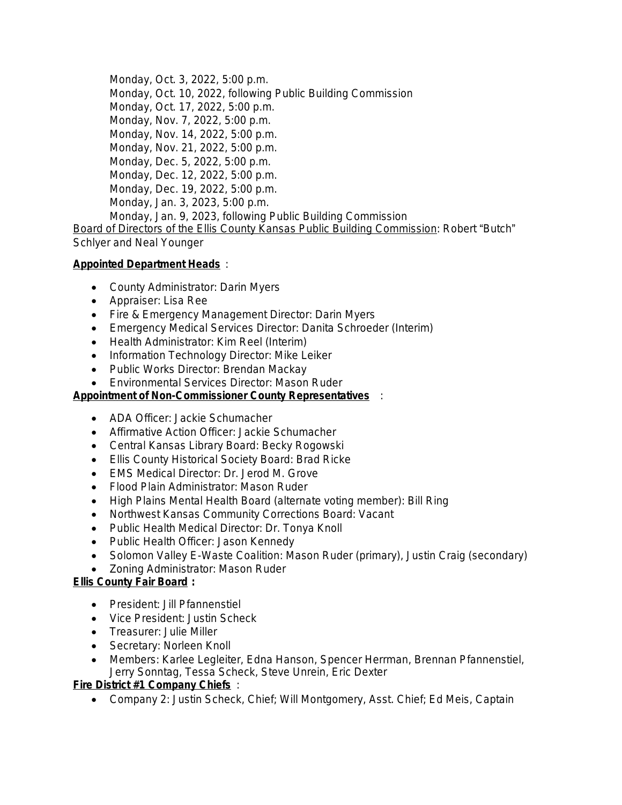Monday, Oct. 3, 2022, 5:00 p.m. Monday, Oct. 10, 2022, following Public Building Commission Monday, Oct. 17, 2022, 5:00 p.m. Monday, Nov. 7, 2022, 5:00 p.m. Monday, Nov. 14, 2022, 5:00 p.m. Monday, Nov. 21, 2022, 5:00 p.m. Monday, Dec. 5, 2022, 5:00 p.m. Monday, Dec. 12, 2022, 5:00 p.m. Monday, Dec. 19, 2022, 5:00 p.m. Monday, Jan. 3, 2023, 5:00 p.m. Monday, Jan. 9, 2023, following Public Building Commission

Board of Directors of the Ellis County Kansas Public Building Commission: Robert "Butch" Schlyer and Neal Younger

## **Appointed Department Heads** :

- County Administrator: Darin Myers
- Appraiser: Lisa Ree
- Fire & Emergency Management Director: Darin Myers
- Emergency Medical Services Director: Danita Schroeder (Interim)
- Health Administrator: Kim Reel (Interim)
- Information Technology Director: Mike Leiker
- Public Works Director: Brendan Mackay
- Environmental Services Director: Mason Ruder

## **Appointment of Non-Commissioner County Representatives** :

- ADA Officer: Jackie Schumacher
- Affirmative Action Officer: Jackie Schumacher
- Central Kansas Library Board: Becky Rogowski
- Ellis County Historical Society Board: Brad Ricke
- EMS Medical Director: Dr. Jerod M. Grove
- Flood Plain Administrator: Mason Ruder
- High Plains Mental Health Board (alternate voting member): Bill Ring
- Northwest Kansas Community Corrections Board: Vacant
- Public Health Medical Director: Dr. Tonya Knoll
- Public Health Officer: Jason Kennedy
- Solomon Valley E-Waste Coalition: Mason Ruder (primary), Justin Craig (secondary)
- Zoning Administrator: Mason Ruder

## **Ellis County Fair Board :**

- President: Jill Pfannenstiel
- Vice President: Justin Scheck
- Treasurer: Julie Miller
- Secretary: Norleen Knoll
- Members: Karlee Legleiter, Edna Hanson, Spencer Herrman, Brennan Pfannenstiel, Jerry Sonntag, Tessa Scheck, Steve Unrein, Eric Dexter

## **Fire District #1 Company Chiefs** :

Company 2: Justin Scheck, Chief; Will Montgomery, Asst. Chief; Ed Meis, Captain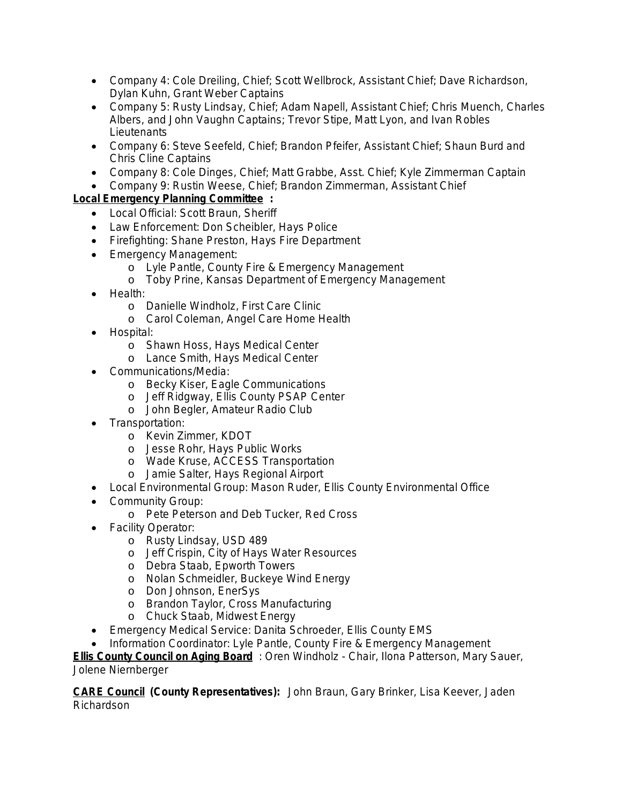- Company 4: Cole Dreiling, Chief; Scott Wellbrock, Assistant Chief; Dave Richardson, Dylan Kuhn, Grant Weber Captains
- Company 5: Rusty Lindsay, Chief; Adam Napell, Assistant Chief; Chris Muench, Charles Albers, and John Vaughn Captains; Trevor Stipe, Matt Lyon, and Ivan Robles **Lieutenants**
- Company 6: Steve Seefeld, Chief; Brandon Pfeifer, Assistant Chief; Shaun Burd and Chris Cline Captains
- Company 8: Cole Dinges, Chief; Matt Grabbe, Asst. Chief; Kyle Zimmerman Captain
- Company 9: Rustin Weese, Chief; Brandon Zimmerman, Assistant Chief

# **Local Emergency Planning Committee :**

- Local Official: Scott Braun, Sheriff
- Law Enforcement: Don Scheibler, Hays Police
- Firefighting: Shane Preston, Hays Fire Department
- **Emergency Management:** 
	- o Lyle Pantle, County Fire & Emergency Management
	- o Toby Prine, Kansas Department of Emergency Management
- Health:
	- o Danielle Windholz, First Care Clinic
	- o Carol Coleman, Angel Care Home Health
- Hospital:
	- o Shawn Hoss, Hays Medical Center
	- o Lance Smith, Hays Medical Center
- Communications/Media:
	- o Becky Kiser, Eagle Communications
	- o Jeff Ridgway, Ellis County PSAP Center
	- o John Begler, Amateur Radio Club
- Transportation:
	- o Kevin Zimmer, KDOT
	- o Jesse Rohr, Hays Public Works
	- o Wade Kruse, ACCESS Transportation
	- o Jamie Salter, Hays Regional Airport
- Local Environmental Group: Mason Ruder, Ellis County Environmental Office
- Community Group:
	- o Pete Peterson and Deb Tucker, Red Cross
- Facility Operator:
	- o Rusty Lindsay, USD 489
	- o Jeff Crispin, City of Hays Water Resources
	- o Debra Staab, Epworth Towers
	- o Nolan Schmeidler, Buckeye Wind Energy
	- o Don Johnson, EnerSys
	- o Brandon Taylor, Cross Manufacturing
	- o Chuck Staab, Midwest Energy
- Emergency Medical Service: Danita Schroeder, Ellis County EMS
- Information Coordinator: Lyle Pantle, County Fire & Emergency Management

**Ellis County Council on Aging Board** : Oren Windholz - Chair, Ilona Patterson, Mary Sauer, Jolene Niernberger

**CARE Council (County Representatives):** John Braun, Gary Brinker, Lisa Keever, Jaden Richardson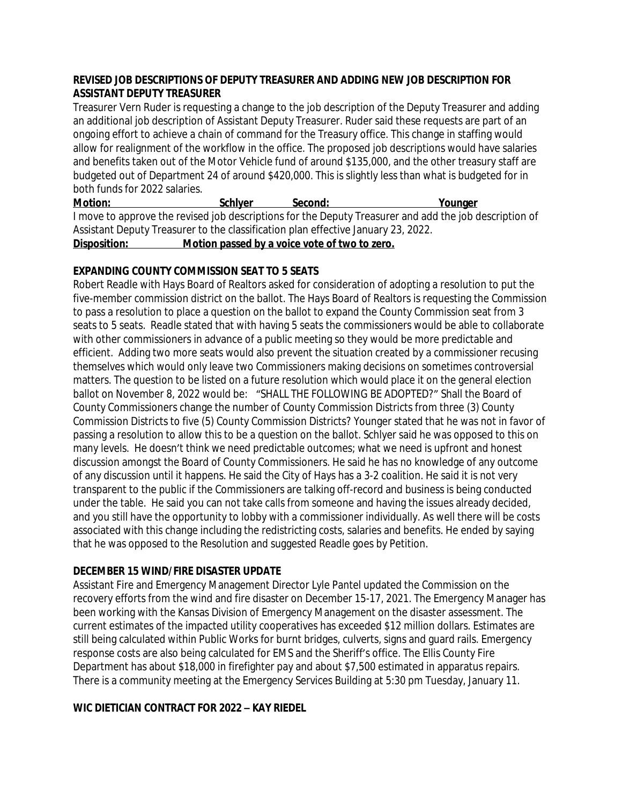### **REVISED JOB DESCRIPTIONS OF DEPUTY TREASURER AND ADDING NEW JOB DESCRIPTION FOR ASSISTANT DEPUTY TREASURER**

Treasurer Vern Ruder is requesting a change to the job description of the Deputy Treasurer and adding an additional job description of Assistant Deputy Treasurer. Ruder said these requests are part of an ongoing effort to achieve a chain of command for the Treasury office. This change in staffing would allow for realignment of the workflow in the office. The proposed job descriptions would have salaries and benefits taken out of the Motor Vehicle fund of around \$135,000, and the other treasury staff are budgeted out of Department 24 of around \$420,000. This is slightly less than what is budgeted for in both funds for 2022 salaries.

**Motion: Schlyer Second: Younger** I move to approve the revised job descriptions for the Deputy Treasurer and add the job description of Assistant Deputy Treasurer to the classification plan effective January 23, 2022. **Disposition: Motion passed by a voice vote of two to zero.**

## **EXPANDING COUNTY COMMISSION SEAT TO 5 SEATS**

Robert Readle with Hays Board of Realtors asked for consideration of adopting a resolution to put the five-member commission district on the ballot. The Hays Board of Realtors is requesting the Commission to pass a resolution to place a question on the ballot to expand the County Commission seat from 3 seats to 5 seats. Readle stated that with having 5 seats the commissioners would be able to collaborate with other commissioners in advance of a public meeting so they would be more predictable and efficient. Adding two more seats would also prevent the situation created by a commissioner recusing themselves which would only leave two Commissioners making decisions on sometimes controversial matters. The question to be listed on a future resolution which would place it on the general election ballot on November 8, 2022 would be: "SHALL THE FOLLOWING BE ADOPTED?" Shall the Board of County Commissioners change the number of County Commission Districts from three (3) County Commission Districts to five (5) County Commission Districts? Younger stated that he was not in favor of passing a resolution to allow this to be a question on the ballot. Schlyer said he was opposed to this on many levels. He doesn't think we need predictable outcomes; what we need is upfront and honest discussion amongst the Board of County Commissioners. He said he has no knowledge of any outcome of any discussion until it happens. He said the City of Hays has a 3-2 coalition. He said it is not very transparent to the public if the Commissioners are talking off-record and business is being conducted under the table. He said you can not take calls from someone and having the issues already decided, and you still have the opportunity to lobby with a commissioner individually. As well there will be costs associated with this change including the redistricting costs, salaries and benefits. He ended by saying that he was opposed to the Resolution and suggested Readle goes by Petition.

### **DECEMBER 15 WIND/FIRE DISASTER UPDATE**

Assistant Fire and Emergency Management Director Lyle Pantel updated the Commission on the recovery efforts from the wind and fire disaster on December 15-17, 2021. The Emergency Manager has been working with the Kansas Division of Emergency Management on the disaster assessment. The current estimates of the impacted utility cooperatives has exceeded \$12 million dollars. Estimates are still being calculated within Public Works for burnt bridges, culverts, signs and guard rails. Emergency response costs are also being calculated for EMS and the Sheriff's office. The Ellis County Fire Department has about \$18,000 in firefighter pay and about \$7,500 estimated in apparatus repairs. There is a community meeting at the Emergency Services Building at 5:30 pm Tuesday, January 11.

### **WIC DIETICIAN CONTRACT FOR 2022 – KAY RIEDEL**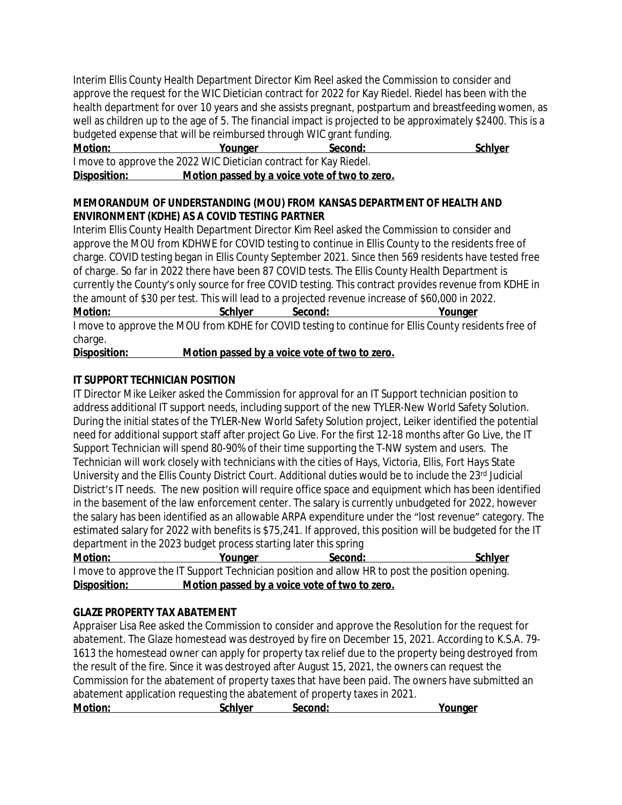Interim Ellis County Health Department Director Kim Reel asked the Commission to consider and approve the request for the WIC Dietician contract for 2022 for Kay Riedel. Riedel has been with the health department for over 10 years and she assists pregnant, postpartum and breastfeeding women, as well as children up to the age of 5. The financial impact is projected to be approximately \$2400. This is a budgeted expense that will be reimbursed through WIC grant funding.

| <b>Motion:</b>                                                    | Younaer | Second: | <b>Schlyer</b> |
|-------------------------------------------------------------------|---------|---------|----------------|
| I move to approve the 2022 WIC Dietician contract for Kay Riedel. |         |         |                |

### **Disposition: Motion passed by a voice vote of two to zero.**

### **MEMORANDUM OF UNDERSTANDING (MOU) FROM KANSAS DEPARTMENT OF HEALTH AND ENVIRONMENT (KDHE) AS A COVID TESTING PARTNER**

Interim Ellis County Health Department Director Kim Reel asked the Commission to consider and approve the MOU from KDHWE for COVID testing to continue in Ellis County to the residents free of charge. COVID testing began in Ellis County September 2021. Since then 569 residents have tested free of charge. So far in 2022 there have been 87 COVID tests. The Ellis County Health Department is currently the County's only source for free COVID testing. This contract provides revenue from KDHE in the amount of \$30 per test. This will lead to a projected revenue increase of \$60,000 in 2022. **Motion: Schlyer Second: Younger** I move to approve the MOU from KDHE for COVID testing to continue for Ellis County residents free of charge.

**Disposition: Motion passed by a voice vote of two to zero.**

# **IT SUPPORT TECHNICIAN POSITION**

IT Director Mike Leiker asked the Commission for approval for an IT Support technician position to address additional IT support needs, including support of the new TYLER-New World Safety Solution. During the initial states of the TYLER-New World Safety Solution project, Leiker identified the potential need for additional support staff after project Go Live. For the first 12-18 months after Go Live, the IT Support Technician will spend 80-90% of their time supporting the T-NW system and users. The Technician will work closely with technicians with the cities of Hays, Victoria, Ellis, Fort Hays State University and the Ellis County District Court. Additional duties would be to include the 23rd Judicial District's IT needs. The new position will require office space and equipment which has been identified in the basement of the law enforcement center. The salary is currently unbudgeted for 2022, however the salary has been identified as an allowable ARPA expenditure under the "lost revenue" category. The estimated salary for 2022 with benefits is \$75,241. If approved, this position will be budgeted for the IT department in the 2023 budget process starting later this spring

| <b>Motion:</b> | Younger                                       | Second:                                                                                         | <b>Schlyer</b> |
|----------------|-----------------------------------------------|-------------------------------------------------------------------------------------------------|----------------|
|                |                                               | I move to approve the IT Support Technician position and allow HR to post the position opening. |                |
| Disposition:   | Motion passed by a voice vote of two to zero. |                                                                                                 |                |

# **GLAZE PROPERTY TAX ABATEMENT**

Appraiser Lisa Ree asked the Commission to consider and approve the Resolution for the request for abatement. The Glaze homestead was destroyed by fire on December 15, 2021. According to K.S.A. 79- 1613 the homestead owner can apply for property tax relief due to the property being destroyed from the result of the fire. Since it was destroyed after August 15, 2021, the owners can request the Commission for the abatement of property taxes that have been paid. The owners have submitted an abatement application requesting the abatement of property taxes in 2021.

| <b>Motion:</b> | Schlver | Second: | Younger |
|----------------|---------|---------|---------|
|                |         |         |         |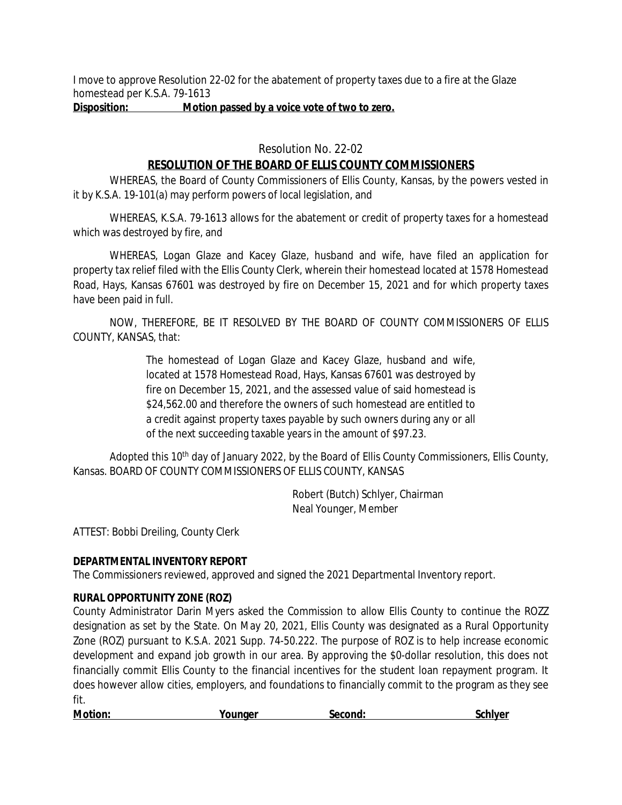I move to approve Resolution 22-02 for the abatement of property taxes due to a fire at the Glaze homestead per K.S.A. 79-1613

## **Disposition: Motion passed by a voice vote of two to zero.**

Resolution No. 22-02

# **RESOLUTION OF THE BOARD OF ELLIS COUNTY COMMISSIONERS**

WHEREAS, the Board of County Commissioners of Ellis County, Kansas, by the powers vested in it by K.S.A. 19-101(a) may perform powers of local legislation, and

WHEREAS, K.S.A. 79-1613 allows for the abatement or credit of property taxes for a homestead which was destroyed by fire, and

WHEREAS, Logan Glaze and Kacey Glaze, husband and wife, have filed an application for property tax relief filed with the Ellis County Clerk, wherein their homestead located at 1578 Homestead Road, Hays, Kansas 67601 was destroyed by fire on December 15, 2021 and for which property taxes have been paid in full.

NOW, THEREFORE, BE IT RESOLVED BY THE BOARD OF COUNTY COMMISSIONERS OF ELLIS COUNTY, KANSAS, that:

> The homestead of Logan Glaze and Kacey Glaze, husband and wife, located at 1578 Homestead Road, Hays, Kansas 67601 was destroyed by fire on December 15, 2021, and the assessed value of said homestead is \$24,562.00 and therefore the owners of such homestead are entitled to a credit against property taxes payable by such owners during any or all of the next succeeding taxable years in the amount of \$97.23.

Adopted this 10<sup>th</sup> day of January 2022, by the Board of Ellis County Commissioners, Ellis County, Kansas. BOARD OF COUNTY COMMISSIONERS OF ELLIS COUNTY, KANSAS

> Robert (Butch) Schlyer, Chairman Neal Younger, Member

ATTEST: Bobbi Dreiling, County Clerk

## **DEPARTMENTAL INVENTORY REPORT**

The Commissioners reviewed, approved and signed the 2021 Departmental Inventory report.

## **RURAL OPPORTUNITY ZONE (ROZ)**

County Administrator Darin Myers asked the Commission to allow Ellis County to continue the ROZZ designation as set by the State. On May 20, 2021, Ellis County was designated as a Rural Opportunity Zone (ROZ) pursuant to K.S.A. 2021 Supp. 74-50.222. The purpose of ROZ is to help increase economic development and expand job growth in our area. By approving the \$0-dollar resolution, this does not financially commit Ellis County to the financial incentives for the student loan repayment program. It does however allow cities, employers, and foundations to financially commit to the program as they see fit.

| <b>Motion:</b> | Younaer | Second: | Schlver |
|----------------|---------|---------|---------|
|                |         |         |         |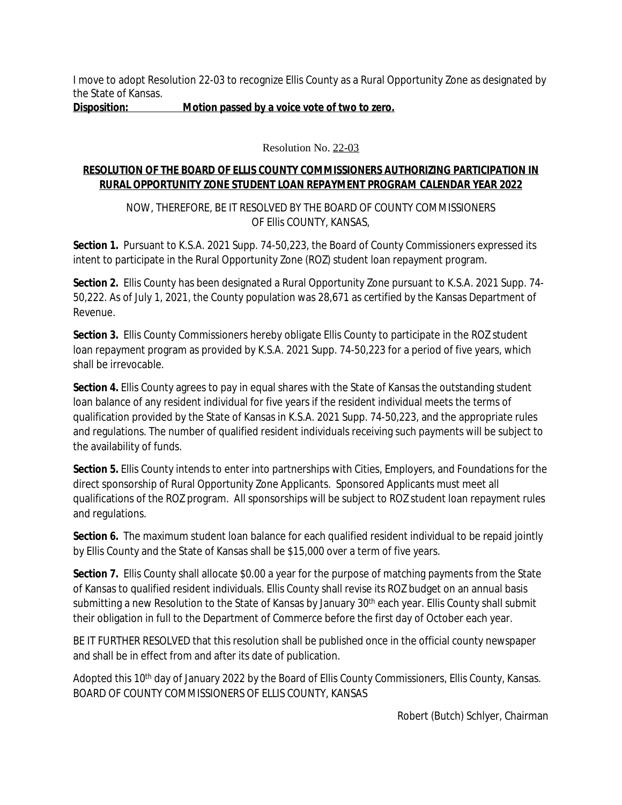I move to adopt Resolution 22-03 to recognize Ellis County as a Rural Opportunity Zone as designated by the State of Kansas.

**Disposition: Motion passed by a voice vote of two to zero.**

Resolution No. 22-03

## **RESOLUTION OF THE BOARD OF ELLIS COUNTY COMMISSIONERS AUTHORIZING PARTICIPATION IN RURAL OPPORTUNITY ZONE STUDENT LOAN REPAYMENT PROGRAM CALENDAR YEAR 2022**

NOW, THEREFORE, BE IT RESOLVED BY THE BOARD OF COUNTY COMMISSIONERS OF Ellis COUNTY, KANSAS,

Section 1. Pursuant to K.S.A. 2021 Supp. 74-50,223, the Board of County Commissioners expressed its intent to participate in the Rural Opportunity Zone (ROZ) student loan repayment program.

**Section 2.** Ellis County has been designated a Rural Opportunity Zone pursuant to K.S.A. 2021 Supp. 74- 50,222. As of July 1, 2021, the County population was 28,671 as certified by the Kansas Department of Revenue.

**Section 3.** Ellis County Commissioners hereby obligate Ellis County to participate in the ROZ student loan repayment program as provided by K.S.A. 2021 Supp. 74-50,223 for a period of five years, which shall be irrevocable.

**Section 4.** Ellis County agrees to pay in equal shares with the State of Kansas the outstanding student loan balance of any resident individual for five years if the resident individual meets the terms of qualification provided by the State of Kansas in K.S.A. 2021 Supp. 74-50,223, and the appropriate rules and regulations. The number of qualified resident individuals receiving such payments will be subject to the availability of funds.

**Section 5.** Ellis County intends to enter into partnerships with Cities, Employers, and Foundations for the direct sponsorship of Rural Opportunity Zone Applicants. Sponsored Applicants must meet all qualifications of the ROZ program. All sponsorships will be subject to ROZ student loan repayment rules and regulations.

**Section 6.** The maximum student loan balance for each qualified resident individual to be repaid jointly by Ellis County and the State of Kansas shall be \$15,000 over a term of five years.

**Section 7.** Ellis County shall allocate \$0.00 a year for the purpose of matching payments from the State of Kansas to qualified resident individuals. Ellis County shall revise its ROZ budget on an annual basis submitting a new Resolution to the State of Kansas by January 30<sup>th</sup> each year. Ellis County shall submit their obligation in full to the Department of Commerce before the first day of October each year.

BE IT FURTHER RESOLVED that this resolution shall be published once in the official county newspaper and shall be in effect from and after its date of publication.

Adopted this 10<sup>th</sup> day of January 2022 by the Board of Ellis County Commissioners, Ellis County, Kansas. BOARD OF COUNTY COMMISSIONERS OF ELLIS COUNTY, KANSAS

Robert (Butch) Schlyer, Chairman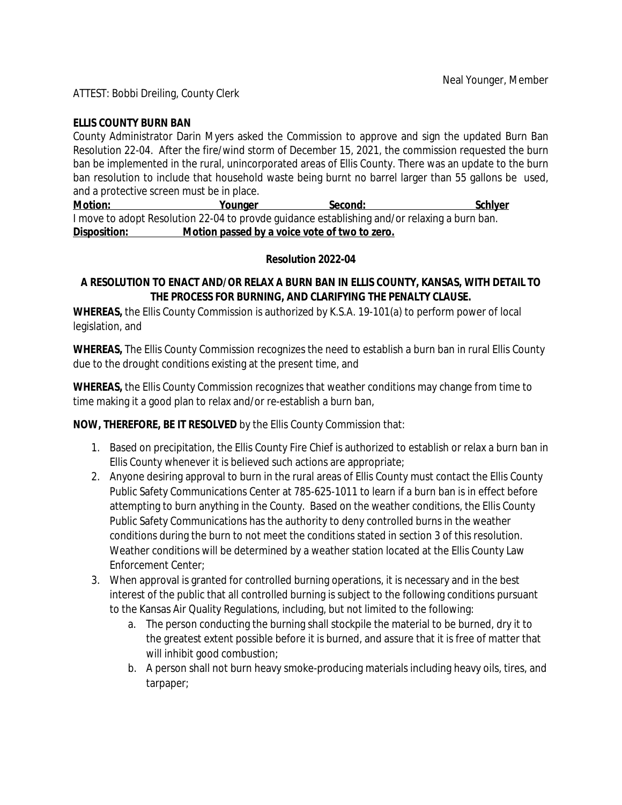ATTEST: Bobbi Dreiling, County Clerk

### **ELLIS COUNTY BURN BAN**

County Administrator Darin Myers asked the Commission to approve and sign the updated Burn Ban Resolution 22-04. After the fire/wind storm of December 15, 2021, the commission requested the burn ban be implemented in the rural, unincorporated areas of Ellis County. There was an update to the burn ban resolution to include that household waste being burnt no barrel larger than 55 gallons be used, and a protective screen must be in place.

**Motion: Younger Second: Schlyer** I move to adopt Resolution 22-04 to provde guidance establishing and/or relaxing a burn ban. **Disposition: Motion passed by a voice vote of two to zero.**

#### **Resolution 2022-04**

### **A RESOLUTION TO ENACT AND/OR RELAX A BURN BAN IN ELLIS COUNTY, KANSAS, WITH DETAIL TO THE PROCESS FOR BURNING, AND CLARIFYING THE PENALTY CLAUSE.**

**WHEREAS,** the Ellis County Commission is authorized by K.S.A. 19-101(a) to perform power of local legislation, and

**WHEREAS,** The Ellis County Commission recognizes the need to establish a burn ban in rural Ellis County due to the drought conditions existing at the present time, and

**WHEREAS,** the Ellis County Commission recognizes that weather conditions may change from time to time making it a good plan to relax and/or re-establish a burn ban,

**NOW, THEREFORE, BE IT RESOLVED** by the Ellis County Commission that:

- 1. Based on precipitation, the Ellis County Fire Chief is authorized to establish or relax a burn ban in Ellis County whenever it is believed such actions are appropriate;
- 2. Anyone desiring approval to burn in the rural areas of Ellis County must contact the Ellis County Public Safety Communications Center at 785-625-1011 to learn if a burn ban is in effect before attempting to burn anything in the County. Based on the weather conditions, the Ellis County Public Safety Communications has the authority to deny controlled burns in the weather conditions during the burn to not meet the conditions stated in section 3 of this resolution. Weather conditions will be determined by a weather station located at the Ellis County Law Enforcement Center;
- 3. When approval is granted for controlled burning operations, it is necessary and in the best interest of the public that all controlled burning is subject to the following conditions pursuant to the Kansas Air Quality Regulations, including, but not limited to the following:
	- a. The person conducting the burning shall stockpile the material to be burned, dry it to the greatest extent possible before it is burned, and assure that it is free of matter that will inhibit good combustion;
	- b. A person shall not burn heavy smoke-producing materials including heavy oils, tires, and tarpaper;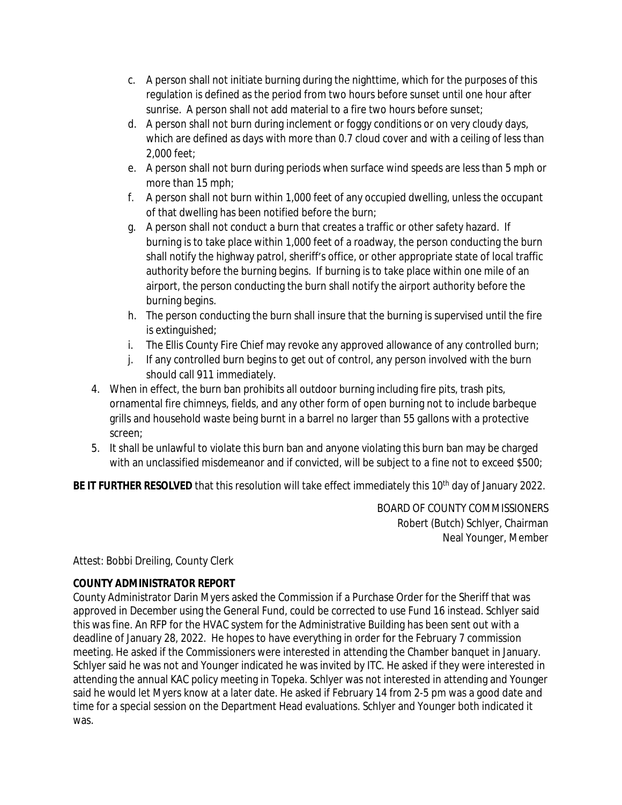- c. A person shall not initiate burning during the nighttime, which for the purposes of this regulation is defined as the period from two hours before sunset until one hour after sunrise. A person shall not add material to a fire two hours before sunset;
- d. A person shall not burn during inclement or foggy conditions or on very cloudy days, which are defined as days with more than 0.7 cloud cover and with a ceiling of less than 2,000 feet;
- e. A person shall not burn during periods when surface wind speeds are less than 5 mph or more than 15 mph;
- f. A person shall not burn within 1,000 feet of any occupied dwelling, unless the occupant of that dwelling has been notified before the burn;
- g. A person shall not conduct a burn that creates a traffic or other safety hazard. If burning is to take place within 1,000 feet of a roadway, the person conducting the burn shall notify the highway patrol, sheriff's office, or other appropriate state of local traffic authority before the burning begins. If burning is to take place within one mile of an airport, the person conducting the burn shall notify the airport authority before the burning begins.
- h. The person conducting the burn shall insure that the burning is supervised until the fire is extinguished;
- i. The Ellis County Fire Chief may revoke any approved allowance of any controlled burn;
- j. If any controlled burn begins to get out of control, any person involved with the burn should call 911 immediately.
- 4. When in effect, the burn ban prohibits all outdoor burning including fire pits, trash pits, ornamental fire chimneys, fields, and any other form of open burning not to include barbeque grills and household waste being burnt in a barrel no larger than 55 gallons with a protective screen;
- 5. It shall be unlawful to violate this burn ban and anyone violating this burn ban may be charged with an unclassified misdemeanor and if convicted, will be subject to a fine not to exceed \$500;

**BE IT FURTHER RESOLVED** that this resolution will take effect immediately this 10<sup>th</sup> day of January 2022.

BOARD OF COUNTY COMMISSIONERS Robert (Butch) Schlyer, Chairman Neal Younger, Member

# Attest: Bobbi Dreiling, County Clerk

# **COUNTY ADMINISTRATOR REPORT**

County Administrator Darin Myers asked the Commission if a Purchase Order for the Sheriff that was approved in December using the General Fund, could be corrected to use Fund 16 instead. Schlyer said this was fine. An RFP for the HVAC system for the Administrative Building has been sent out with a deadline of January 28, 2022. He hopes to have everything in order for the February 7 commission meeting. He asked if the Commissioners were interested in attending the Chamber banquet in January. Schlyer said he was not and Younger indicated he was invited by ITC. He asked if they were interested in attending the annual KAC policy meeting in Topeka. Schlyer was not interested in attending and Younger said he would let Myers know at a later date. He asked if February 14 from 2-5 pm was a good date and time for a special session on the Department Head evaluations. Schlyer and Younger both indicated it was.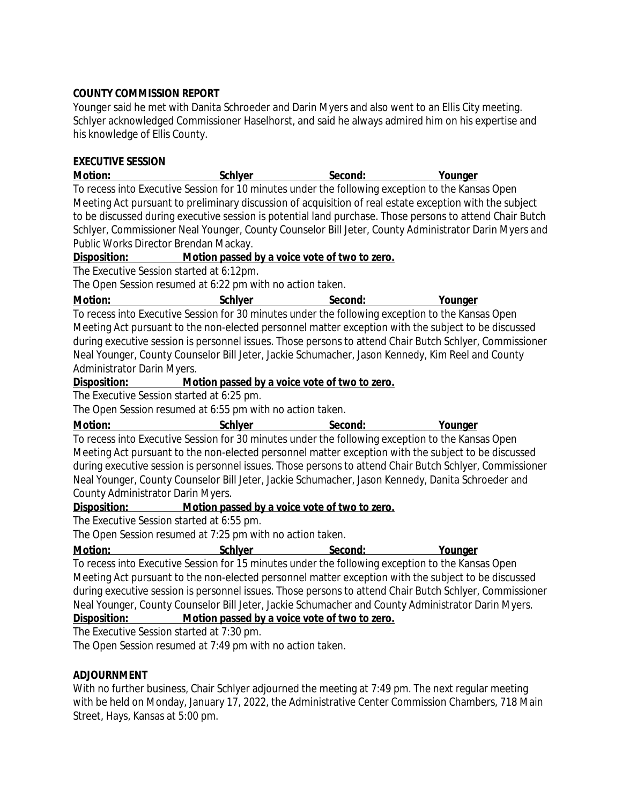### **COUNTY COMMISSION REPORT**

Younger said he met with Danita Schroeder and Darin Myers and also went to an Ellis City meeting. Schlyer acknowledged Commissioner Haselhorst, and said he always admired him on his expertise and his knowledge of Ellis County.

### **EXECUTIVE SESSION**

**Motion: Schlyer Second: Younger** To recess into Executive Session for 10 minutes under the following exception to the Kansas Open Meeting Act pursuant to preliminary discussion of acquisition of real estate exception with the subject to be discussed during executive session is potential land purchase. Those persons to attend Chair Butch Schlyer, Commissioner Neal Younger, County Counselor Bill Jeter, County Administrator Darin Myers and Public Works Director Brendan Mackay.

### **Disposition: Motion passed by a voice vote of two to zero.**

The Executive Session started at 6:12pm.

The Open Session resumed at 6:22 pm with no action taken.

**Motion: Schlyer Second: Younger**

To recess into Executive Session for 30 minutes under the following exception to the Kansas Open Meeting Act pursuant to the non-elected personnel matter exception with the subject to be discussed during executive session is personnel issues. Those persons to attend Chair Butch Schlyer, Commissioner Neal Younger, County Counselor Bill Jeter, Jackie Schumacher, Jason Kennedy, Kim Reel and County Administrator Darin Myers.

### **Disposition: Motion passed by a voice vote of two to zero.**

The Executive Session started at 6:25 pm.

The Open Session resumed at 6:55 pm with no action taken.

**Motion: Schlyer Second: Younger**

To recess into Executive Session for 30 minutes under the following exception to the Kansas Open Meeting Act pursuant to the non-elected personnel matter exception with the subject to be discussed during executive session is personnel issues. Those persons to attend Chair Butch Schlyer, Commissioner Neal Younger, County Counselor Bill Jeter, Jackie Schumacher, Jason Kennedy, Danita Schroeder and County Administrator Darin Myers.

### **Disposition: Motion passed by a voice vote of two to zero.**

The Executive Session started at 6:55 pm.

The Open Session resumed at 7:25 pm with no action taken.

**Motion:** Schlyer Second: Younger

To recess into Executive Session for 15 minutes under the following exception to the Kansas Open Meeting Act pursuant to the non-elected personnel matter exception with the subject to be discussed during executive session is personnel issues. Those persons to attend Chair Butch Schlyer, Commissioner Neal Younger, County Counselor Bill Jeter, Jackie Schumacher and County Administrator Darin Myers.

## **Disposition: Motion passed by a voice vote of two to zero.**

The Executive Session started at 7:30 pm.

The Open Session resumed at 7:49 pm with no action taken.

### **ADJOURNMENT**

With no further business, Chair Schlyer adjourned the meeting at 7:49 pm. The next regular meeting with be held on Monday, January 17, 2022, the Administrative Center Commission Chambers, 718 Main Street, Hays, Kansas at 5:00 pm.